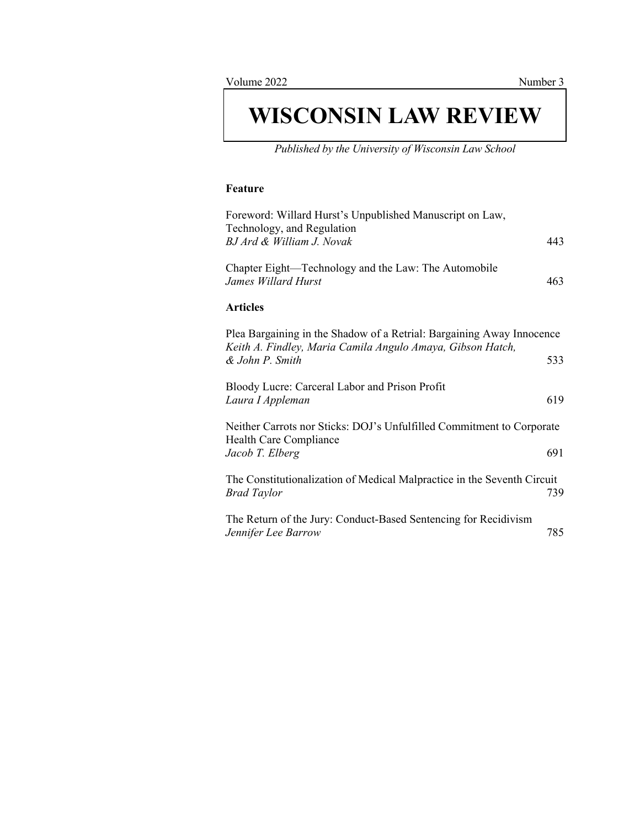# **WISCONSIN LAW REVIEW**

*Published by the University of Wisconsin Law School*

### **Feature**

| Foreword: Willard Hurst's Unpublished Manuscript on Law,<br>Technology, and Regulation                                              |     |
|-------------------------------------------------------------------------------------------------------------------------------------|-----|
| BJ Ard & William J. Novak                                                                                                           | 443 |
| Chapter Eight—Technology and the Law: The Automobile<br>James Willard Hurst                                                         | 463 |
| <b>Articles</b>                                                                                                                     |     |
| Plea Bargaining in the Shadow of a Retrial: Bargaining Away Innocence<br>Keith A. Findley, Maria Camila Angulo Amaya, Gibson Hatch, |     |
| & John P. Smith                                                                                                                     | 533 |
| Bloody Lucre: Carceral Labor and Prison Profit<br>Laura I Appleman                                                                  | 619 |
| Neither Carrots nor Sticks: DOJ's Unfulfilled Commitment to Corporate                                                               |     |
| Health Care Compliance<br>Jacob T. Elberg                                                                                           | 691 |
| The Constitutionalization of Medical Malpractice in the Seventh Circuit<br><b>Brad Taylor</b>                                       | 739 |
| The Return of the Jury: Conduct-Based Sentencing for Recidivism<br>Jennifer Lee Barrow                                              | 785 |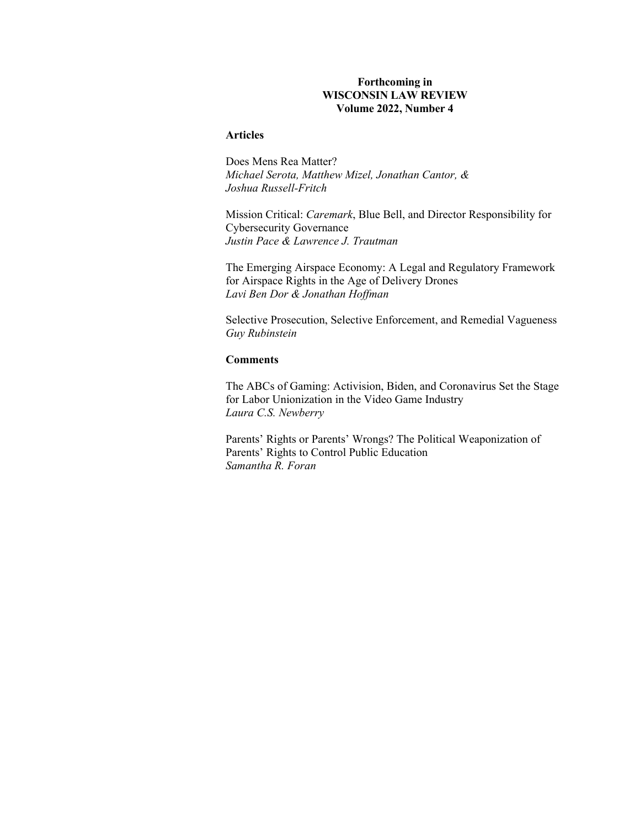### **Forthcoming in WISCONSIN LAW REVIEW Volume 2022, Number 4**

## **Articles**

Does Mens Rea Matter? *Michael Serota, Matthew Mizel, Jonathan Cantor, & Joshua Russell-Fritch* 

Mission Critical: *Caremark*, Blue Bell, and Director Responsibility for Cybersecurity Governance *Justin Pace & Lawrence J. Trautman* 

The Emerging Airspace Economy: A Legal and Regulatory Framework for Airspace Rights in the Age of Delivery Drones *Lavi Ben Dor & Jonathan Hoffman* 

Selective Prosecution, Selective Enforcement, and Remedial Vagueness *Guy Rubinstein* 

## **Comments**

The ABCs of Gaming: Activision, Biden, and Coronavirus Set the Stage for Labor Unionization in the Video Game Industry *Laura C.S. Newberry* 

Parents' Rights or Parents' Wrongs? The Political Weaponization of Parents' Rights to Control Public Education *Samantha R. Foran*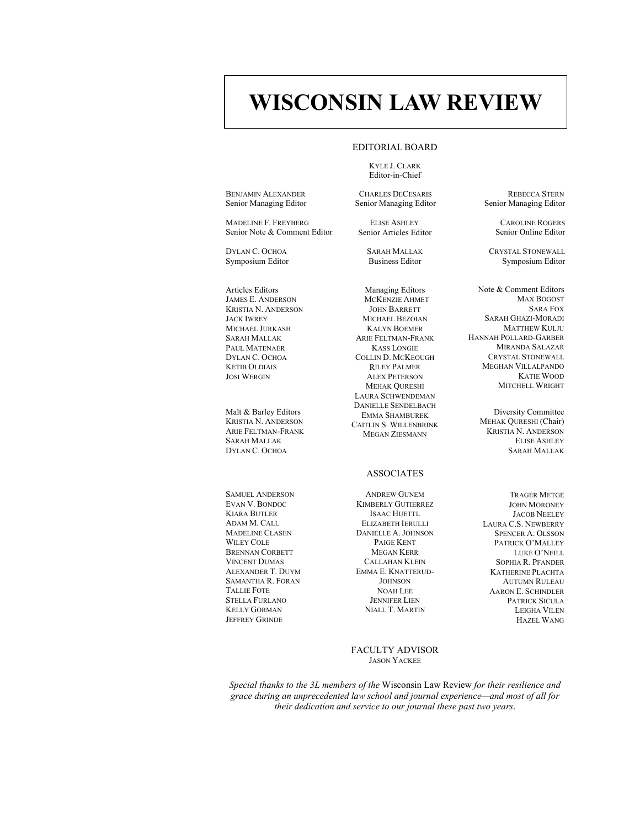## **WISCONSIN LAW REVIEW**

#### EDITORIAL BOARD

KYLE J. CLARK Editor-in-Chief

BENJAMIN ALEXANDER Senior Managing Editor

MADELINE F. FREYBERG Senior Note & Comment Editor

DYLAN C. OCHOA Symposium Editor

Articles Editors JAMES E. ANDERSON KRISTIA N. ANDERSON JACK IWREY MICHAEL JURKASH SARAH MALLAK PAUL MATENAER DYLAN C. OCHOA KETIB OLDIAIS JOSI WERGIN

Malt & Barley Editors KRISTIA N. ANDERSON ARIE FELTMAN-FRANK SARAH MALLAK DYLAN C. OCHOA

SAMUEL ANDERSON EVAN V. BONDOC KIARA BUTLER ADAM M. CALL MADELINE CLASEN WILEY COLE BRENNAN CORBETT VINCENT DUMAS ALEXANDER T. DUYM SAMANTHA R. FORAN TALLIE FOTE STELLA FURLANO KELLY GORMAN JEFFREY GRINDE

CHARLES DECESARIS Senior Managing Editor

ELISE ASHLEY Senior Articles Editor

> SARAH MALLAK Business Editor

Managing Editors MCKENZIE AHMET JOHN BARRETT MICHAEL BEZOIAN KALYN BOEMER ARIE FELTMAN-FRANK KASS LONGIE COLLIN D. MCKEOUGH RILEY PALMER ALEX PETERSON MEHAK QURESHI LAURA SCHWENDEMAN DANIELLE SENDELBACH EMMA SHAMBUREK CAITLIN S. WILLENBRINK MEGAN ZIESMANN

#### ASSOCIATES

ANDREW GUNEM KIMBERLY GUTIERREZ ISAAC HUETTL ELIZABETH IERULLI DANIELLE A. JOHNSON PAIGE KENT MEGAN KERR CALLAHAN KLEIN EMMA E. KNATTERUD-**JOHNSON** NOAH LEE JENNIFER LIEN NIALL T. MARTIN

FACULTY ADVISOR JASON YACKEE

*Special thanks to the 3L members of the* Wisconsin Law Review *for their resilience and grace during an unprecedented law school and journal experience—and most of all for their dedication and service to our journal these past two years*.

REBECCA STERN Senior Managing Editor

> CAROLINE ROGERS Senior Online Editor

CRYSTAL STONEWALL Symposium Editor

Note & Comment Editors MAX BOGOST SARA FOX SARAH GHAZI-MORADI MATTHEW KULJU HANNAH POLLARD-GARBER MIRANDA SALAZAR CRYSTAL STONEWALL MEGHAN VILLALPANDO KATIE WOOD MITCHELL WRIGHT

> Diversity Committee MEHAK QURESHI (Chair) KRISTIA N. ANDERSON ELISE ASHLEY SARAH MALLAK

TRAGER METGE JOHN MORONEY JACOB NEELEY LAURA C.S. NEWBERRY SPENCER A. OLSSON PATRICK O'MALLEY LUKE O'NEILL SOPHIA R. PFANDER KATHERINE PLACHTA AUTUMN RULEAU AARON E. SCHINDLER PATRICK SICULA LEIGHA VILEN HAZEL WANG